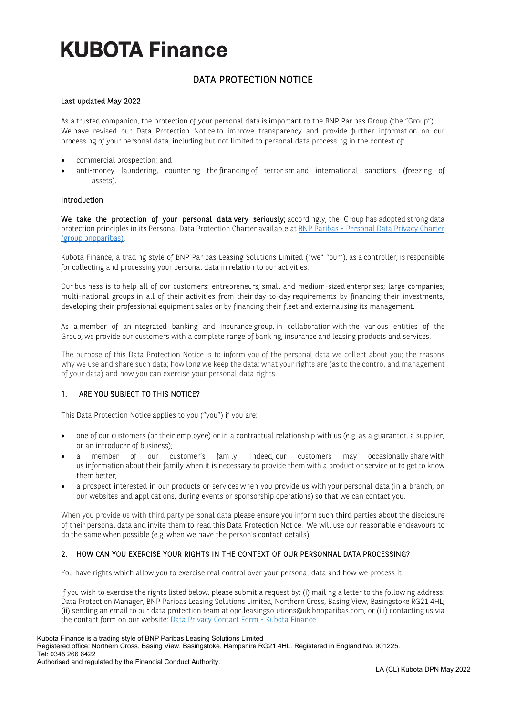## DATA PROTECTION NOTICE

#### Last updated May 2022

As a trusted companion, the protection of your personal data is important to the BNP Paribas Group (the "Group"). We have revised our Data Protection Notice to improve transparency and provide further information on our processing of your personal data, including but not limited to personal data processing in the context of:

- commercial prospection; and
- anti-money laundering, countering the financing of terrorism and international sanctions (freezing of assets).

#### Introduction

We take the protection of your personal data very seriously; accordingly, the Group has adopted strong data protection principles in its Personal Data Protection Charter available at BNP Paribas - [Personal Data Privacy Charter](https://group.bnpparibas/uploads/file/bnpparibas_personal_data_privacy_charter.pdf)  [\(group.bnpparibas\).](https://group.bnpparibas/uploads/file/bnpparibas_personal_data_privacy_charter.pdf) 

Kubota Finance, a trading style of BNP Paribas Leasing Solutions Limited ("we" "our"), as a controller, is responsible for collecting and processing your personal data in relation to our activities.

Our business is to help all of our customers: entrepreneurs; small and medium-sized enterprises; large companies; multi-national groups in all of their activities from their day-to-day requirements by financing their investments, developing their professional equipment sales or by financing their fleet and externalising its management.

As a member of an integrated banking and insurance group, in collaboration with the various entities of the Group, we provide our customers with a complete range of banking, insurance and leasing products and services.

The purpose of this Data Protection Notice is to inform you of the personal data we collect about you; the reasons why we use and share such data; how long we keep the data; what your rights are (as to the control and management of your data) and how you can exercise your personal data rights.

#### 1. ARE YOU SUBJECT TO THIS NOTICE?

This Data Protection Notice applies to you ("you") if you are:

- one of our customers (or their employee) or in a contractual relationship with us (e.g. as a guarantor, a supplier, or an introducer of business);
- a member of our customer's family. Indeed, our customers may occasionally share with us information about their family when it is necessary to provide them with a product or service or to get to know them better;
- a prospect interested in our products or services when you provide us with your personal data (in a branch, on our websites and applications, during events or sponsorship operations) so that we can contact you.

When you provide us with third party personal data please ensure you inform such third parties about the disclosure of their personal data and invite them to read this Data Protection Notice. We will use our reasonable endeavours to do the same when possible (e.g. when we have the person's contact details).

#### 2. HOW CAN YOU EXERCISE YOUR RIGHTS IN THE CONTEXT OF OUR PERSONNAL DATA PROCESSING?

You have rights which allow you to exercise real control over your personal data and how we process it.

If you wish to exercise the rights listed below, please submit a request by: (i) mailing a letter to the following address: Data Protection Manager, BNP Paribas Leasing Solutions Limited, Northern Cross, Basing View, Basingstoke RG21 4HL; (ii) sending an email to our data protection team at [opc.leasingsolutions@uk.bnpparibas.com;](mailto:opc.leasingsolutions@uk.bnpparibas.com) or (iii) contacting us via the contact form on our website[: Data Privacy Contact Form -](http://www.kubotafinance.co.uk/data-privacy-contact-form/) Kubota Finance

#### Kubota Finance is a trading style of BNP Paribas Leasing Solutions Limited Registered office: Northern Cross, Basing View, Basingstoke, Hampshire RG21 4HL. Registered in England No. 901225. Tel: 0345 266 6422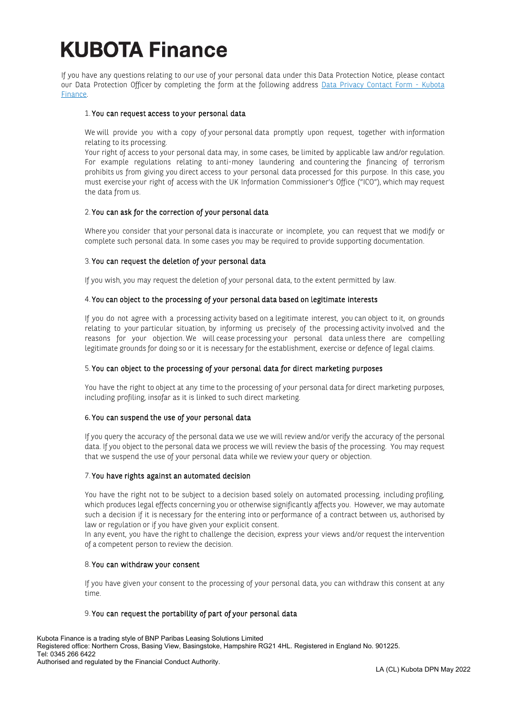If you have any questions relating to our use of your personal data under this Data Protection Notice, please contact our Data Protection Officer by completing the form at the following address [Data Privacy Contact Form -](http://www.kubotafinance.co.uk/data-privacy-contact-form/) Kubota [Finance.](http://www.kubotafinance.co.uk/data-privacy-contact-form/)

#### 1. You can request access to your personal data

We will provide you with a copy of your personal data promptly upon request, together with information relating to its processing.

Your right of access to your personal data may, in some cases, be limited by applicable law and/or regulation. For example regulations relating to anti-money laundering and countering the financing of terrorism prohibits us from giving you direct access to your personal data processed for this purpose. In this case, you must exercise your right of access with the UK Information Commissioner's Office ("ICO"), which may request the data from us.

#### 2. You can ask for the correction of your personal data

Where you consider that your personal data is inaccurate or incomplete, you can request that we modify or complete such personal data. In some cases you may be required to provide supporting documentation.

#### 3. You can request the deletion of your personal data

If you wish, you may request the deletion of your personal data, to the extent permitted by law.

#### 4. You can object to the processing of your personal data based on legitimate interests

If you do not agree with a processing activity based on a legitimate interest, you can object to it, on grounds relating to your particular situation, by informing us precisely of the processing activity involved and the reasons for your objection. We will cease processing your personal data unless there are compelling legitimate grounds for doing so or it is necessary for the establishment, exercise or defence of legal claims.

#### 5. You can object to the processing of your personal data for direct marketing purposes

You have the right to object at any time to the processing of your personal data for direct marketing purposes, including profiling, insofar as it is linked to such direct marketing.

### 6. You can suspend the use of your personal data

If you query the accuracy of the personal data we use we will review and/or verify the accuracy of the personal data. If you object to the personal data we process we will review the basis of the processing. You may request that we suspend the use of your personal data while we review your query or objection.

## 7. You have rights against an automated decision

You have the right not to be subject to a decision based solely on automated processing, including profiling, which produces legal effects concerning you or otherwise significantly affects you. However, we may automate such a decision if it is necessary for the entering into or performance of a contract between us, authorised by law or regulation or if you have given your explicit consent.

In any event, you have the right to challenge the decision, express your views and/or request the intervention of a competent person to review the decision.

#### 8. You can withdraw your consent

If you have given your consent to the processing of your personal data, you can withdraw this consent at any time.

#### 9. You can request the portability of part of your personal data

Kubota Finance is a trading style of BNP Paribas Leasing Solutions Limited Registered office: Northern Cross, Basing View, Basingstoke, Hampshire RG21 4HL. Registered in England No. 901225. Tel: 0345 266 6422 Authorised and regulated by the Financial Conduct Authority.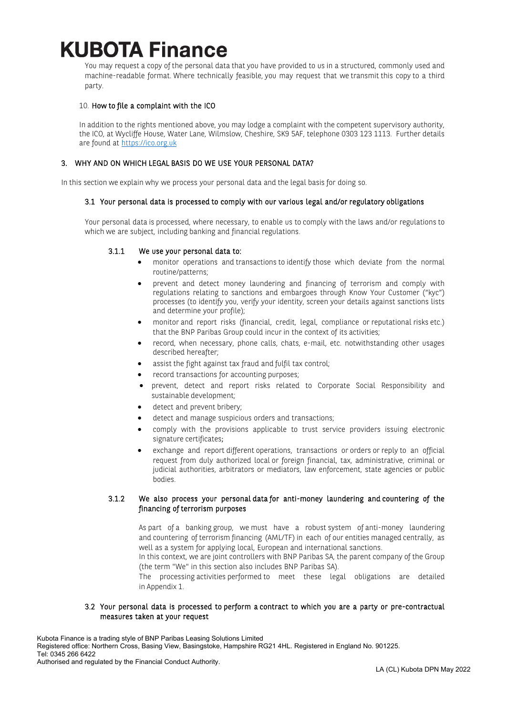You may request a copy of the personal data that you have provided to us in a structured, commonly used and machine-readable format. Where technically feasible, you may request that we transmit this copy to a third party.

### 10. How to file a complaint with the ICO

In addition to the rights mentioned above, you may lodge a complaint with the competent supervisory authority, the ICO, at Wycliffe House, Water Lane, Wilmslow, Cheshire, SK9 5AF, telephone 0303 123 1113. Further details are found at [https://ico.org.uk](https://ico.org.uk/)

## 3. WHY AND ON WHICH LEGAL BASIS DO WE USE YOUR PERSONAL DATA?

In this section we explain why we process your personal data and the legal basis for doing so.

### 3.1 Your personal data is processed to comply with our various legal and/or regulatory obligations

Your personal data is processed, where necessary, to enable us to comply with the laws and/or regulations to which we are subject, including banking and financial regulations.

### 3.1.1 We use your personal data to:

- monitor operations and transactions to identify those which deviate from the normal routine/patterns;
- prevent and detect money laundering and financing of terrorism and comply with regulations relating to sanctions and embargoes through Know Your Customer ("kyc") processes (to identify you, verify your identity, screen your details against sanctions lists and determine your profile);
- monitor and report risks (financial, credit, legal, compliance or reputational risks etc.) that the BNP Paribas Group could incur in the context of its activities;
- record, when necessary, phone calls, chats, e-mail, etc. notwithstanding other usages described hereafter;
- assist the fight against tax fraud and fulfil tax control;
- record transactions for accounting purposes;
- prevent, detect and report risks related to Corporate Social Responsibility and sustainable development;
- detect and prevent bribery;
- detect and manage suspicious orders and transactions;
- comply with the provisions applicable to trust service providers issuing electronic signature certificates;
- exchange and report different operations, transactions or orders or reply to an official request from duly authorized local or foreign financial, tax, administrative, criminal or judicial authorities, arbitrators or mediators, law enforcement, state agencies or public bodies.

## 3.1.2 We also process your personal data for anti-money laundering and countering of the financing of terrorism purposes

As part of a banking group, we must have a robust system of anti-money laundering and countering of terrorism financing (AML/TF) in each of our entities managed centrally, as well as a system for applying local, European and international sanctions.

In this context, we are joint controllers with BNP Paribas SA, the parent company of the Group (the term "We" in this section also includes BNP Paribas SA).

The processing activities performed to meet these legal obligations are detailed in Appendix 1.

#### 3.2 Your personal data is processed to perform a contract to which you are a party or pre-contractual measures taken at your request

Kubota Finance is a trading style of BNP Paribas Leasing Solutions Limited

Registered office: Northern Cross, Basing View, Basingstoke, Hampshire RG21 4HL. Registered in England No. 901225. Tel: 0345 266 6422

Authorised and regulated by the Financial Conduct Authority.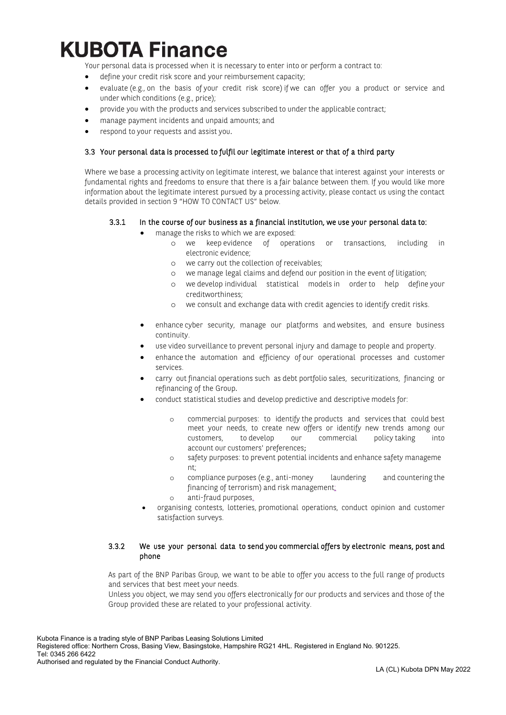Your personal data is processed when it is necessary to enter into or perform a contract to:

- define your credit risk score and your reimbursement capacity;
- evaluate (e.g., on the basis of your credit risk score) if we can offer you a product or service and under which conditions (e.g., price);
- provide you with the products and services subscribed to under the applicable contract;
- manage payment incidents and unpaid amounts; and
- respond to your requests and assist you.

## 3.3 Your personal data is processed to fulfil our legitimate interest or that of a third party

Where we base a processing activity on legitimate interest, we balance that interest against your interests or fundamental rights and freedoms to ensure that there is a fair balance between them. If you would like more information about the legitimate interest pursued by a processing activity, please contact us using the contact details provided in section 9 "HOW TO CONTACT US" below.

### 3.3.1 In the course of our business as a financial institution, we use your personal data to:

- manage the risks to which we are exposed:
	- o we keep evidence of operations or transactions, including in electronic evidence;
	- o we carry out the collection of receivables;
	- o we manage legal claims and defend our position in the event of litigation;
	- o we develop individual statistical models in order to help define your creditworthiness;
	- o we consult and exchange data with credit agencies to identify credit risks.
	- enhance cyber security, manage our platforms and websites, and ensure business continuity.
	- use video surveillance to prevent personal injury and damage to people and property.
	- enhance the automation and efficiency of our operational processes and customer services.
	- carry out financial operations such as debt portfolio sales, securitizations, financing or refinancing of the Group.
	- conduct statistical studies and develop predictive and descriptive models for:
		- o commercial purposes: to identify the products and services that could best meet your needs, to create new offers or identify new trends among our customers, to develop our commercial policy taking into account our customers' preferences;
		- o safety purposes: to prevent potential incidents and enhance safety manageme nt;
		- o compliance purposes (e.g., anti-money laundering and countering the financing of terrorism) and risk management;
		- o anti-fraud purposes.
	- organising contests, lotteries, promotional operations, conduct opinion and customer satisfaction surveys.

### 3.3.2 We use your personal data to send you commercial offers by electronic means, post and phone

As part of the BNP Paribas Group, we want to be able to offer you access to the full range of products and services that best meet your needs.

Unless you object, we may send you offers electronically for our products and services and those of the Group provided these are related to your professional activity.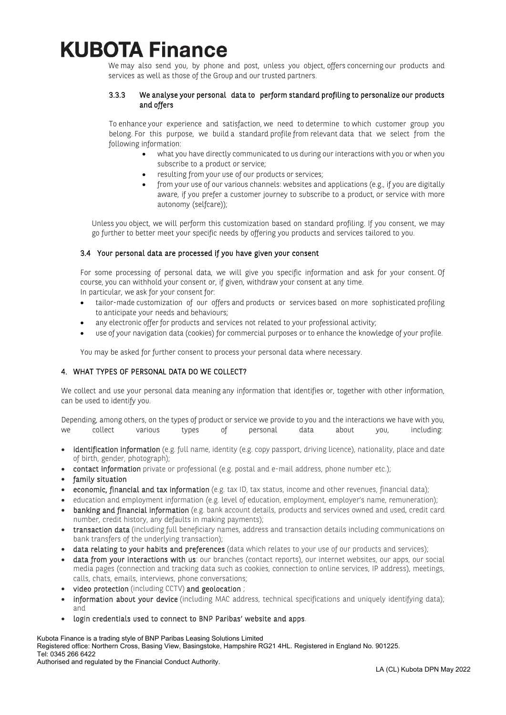We may also send you, by phone and post, unless you object, offers concerning our products and services as well as those of the Group and our trusted partners.

### 3.3.3 We analyse your personal data to perform standard profiling to personalize our products and offers

To enhance your experience and satisfaction, we need to determine to which customer group you belong. For this purpose, we build a standard profile from relevant data that we select from the following information:

- what you have directly communicated to us during our interactions with you or when you subscribe to a product or service;
- resulting from your use of our products or services;
- from your use of our various channels: websites and applications (e.g., if you are digitally aware, if you prefer a customer journey to subscribe to a product, or service with more autonomy (selfcare));

Unless you object, we will perform this customization based on standard profiling. If you consent, we may go further to better meet your specific needs by offering you products and services tailored to you.

### 3.4 Your personal data are processed if you have given your consent

For some processing of personal data, we will give you specific information and ask for your consent. Of course, you can withhold your consent or, if given, withdraw your consent at any time. In particular, we ask for your consent for:

- 
- tailor-made customization of our offers and products or services based on more sophisticated profiling to anticipate your needs and behaviours;
- any electronic offer for products and services not related to your professional activity;
- use of your navigation data (cookies) for commercial purposes or to enhance the knowledge of your profile.

You may be asked for further consent to process your personal data where necessary.

## 4. WHAT TYPES OF PERSONAL DATA DO WE COLLECT?

We collect and use your personal data meaning any information that identifies or, together with other information, can be used to identify you.

Depending, among others, on the types of product or service we provide to you and the interactions we have with you, we collect various types of personal data about you, including:

- identification information (e.g. full name, identity (e.g. copy passport, driving licence), nationality, place and date of birth, gender, photograph);
- contact information private or professional (e.g. postal and e-mail address, phone number etc.);
- family situation
- economic, financial and tax information (e.g. tax ID, tax status, income and other revenues, financial data);
- education and employment information (e.g. level of education, employment, employer's name, remuneration);
- banking and financial information (e.g. bank account details, products and services owned and used, credit card number, credit history, any defaults in making payments);
- transaction data (including full beneficiary names, address and transaction details including communications on bank transfers of the underlying transaction);
- data relating to your habits and preferences (data which relates to your use of our products and services);
- data from your interactions with us: our branches (contact reports), our internet websites, our apps, our social media pages (connection and tracking data such as cookies, connection to online services, IP address), meetings, calls, chats, emails, interviews, phone conversations;
- video protection (including CCTV) and geolocation ;
- information about your device (including MAC address, technical specifications and uniquely identifying data); and
- login credentials used to connect to BNP Paribas' website and apps.

Kubota Finance is a trading style of BNP Paribas Leasing Solutions Limited Registered office: Northern Cross, Basing View, Basingstoke, Hampshire RG21 4HL. Registered in England No. 901225. Tel: 0345 266 6422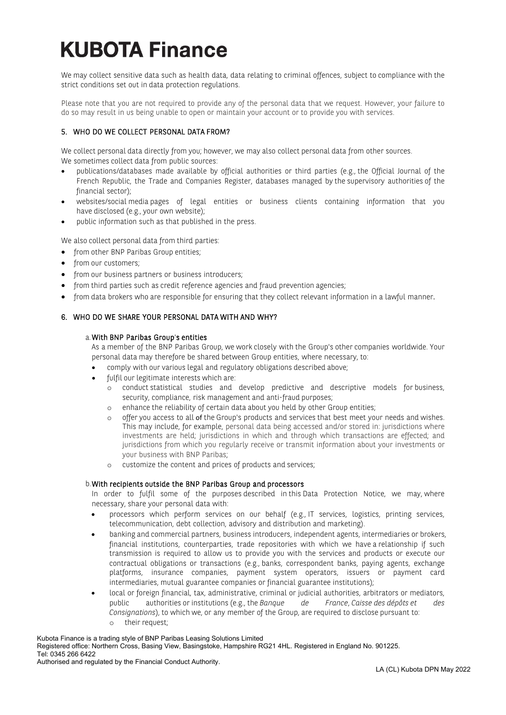We may collect sensitive data such as health data, data relating to criminal offences, subject to compliance with the strict conditions set out in data protection regulations.

Please note that you are not required to provide any of the personal data that we request. However, your failure to do so may result in us being unable to open or maintain your account or to provide you with services.

## 5. WHO DO WE COLLECT PERSONAL DATA FROM?

We collect personal data directly from you; however, we may also collect personal data from other sources. We sometimes collect data from public sources:

- publications/databases made available by official authorities or third parties (e.g., the Official Journal of the French Republic, the Trade and Companies Register, databases managed by the supervisory authorities of the financial sector);
- websites/social media pages of legal entities or business clients containing information that you have disclosed (e.g., your own website);
- public information such as that published in the press.

We also collect personal data from third parties:

- from other BNP Paribas Group entities;
- from our customers;
- from our business partners or business introducers;
- from third parties such as credit reference agencies and fraud prevention agencies;
- from data brokers who are responsible for ensuring that they collect relevant information in a lawful manner.

### 6. WHO DO WE SHARE YOUR PERSONAL DATA WITH AND WHY?

#### a.With BNP Paribas Group's entities

As a member of the BNP Paribas Group, we work closely with the Group's other companies worldwide. Your personal data may therefore be shared between Group entities, where necessary, to:

- comply with our various legal and regulatory obligations described above;
- fulfil our legitimate interests which are:
	- o conduct statistical studies and develop predictive and descriptive models for business, security, compliance, risk management and anti-fraud purposes;
	- enhance the reliability of certain data about you held by other Group entities;
	- o offer you access to all of the Group's products and services that best meet your needs and wishes. This may include, for example, personal data being accessed and/or stored in: jurisdictions where investments are held; jurisdictions in which and through which transactions are effected; and jurisdictions from which you regularly receive or transmit information about your investments or your business with BNP Paribas;
	- o customize the content and prices of products and services;

#### b.With recipients outside the BNP Paribas Group and processors

In order to fulfil some of the purposes described in this Data Protection Notice, we may, where necessary, share your personal data with:

- processors which perform services on our behalf (e.g., IT services, logistics, printing services, telecommunication, debt collection, advisory and distribution and marketing).
- banking and commercial partners, business introducers, independent agents, intermediaries or brokers, financial institutions, counterparties, trade repositories with which we have a relationship if such transmission is required to allow us to provide you with the services and products or execute our contractual obligations or transactions (e.g., banks, correspondent banks, paying agents, exchange platforms, insurance companies, payment system operators, issuers or payment card intermediaries, mutual guarantee companies or financial guarantee institutions);
- local or foreign financial, tax, administrative, criminal or judicial authorities, arbitrators or mediators, public authorities or institutions (e.g., the *Banque de France*, *Caisse des dépôts et des Consignations*), to which we, or any member of the Group, are required to disclose pursuant to: o their request;

Kubota Finance is a trading style of BNP Paribas Leasing Solutions Limited Registered office: Northern Cross, Basing View, Basingstoke, Hampshire RG21 4HL. Registered in England No. 901225. Tel: 0345 266 6422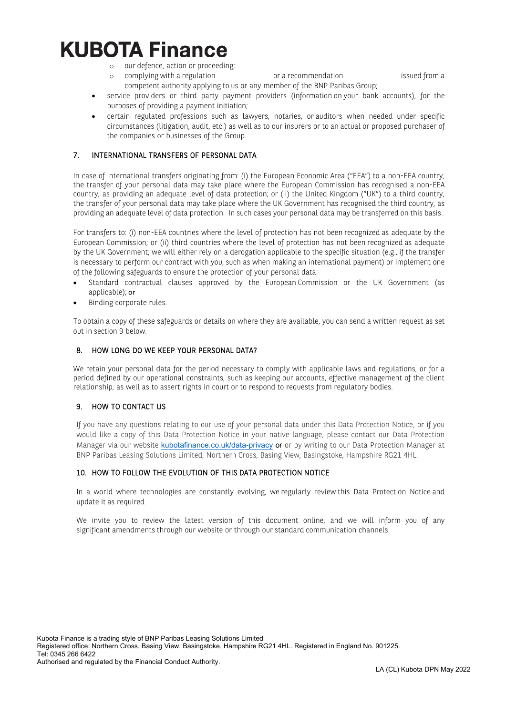- 
- o our defence, action or proceeding; o complying with a regulation or a recommendation issued from a competent authority applying to us or any member of the BNP Paribas Group;
- service providers or third party payment providers (information on your bank accounts), for the purposes of providing a payment initiation;
- certain regulated professions such as lawyers, notaries, or auditors when needed under specific circumstances (litigation, audit, etc.) as well as to our insurers or to an actual or proposed purchaser of the companies or businesses of the Group.

## 7. INTERNATIONAL TRANSFERS OF PERSONAL DATA

In case of international transfers originating from: (i) the European Economic Area ("EEA") to a non-EEA country, the transfer of your personal data may take place where the European Commission has recognised a non-EEA country, as providing an adequate level of data protection; or (ii) the United Kingdom ("UK") to a third country, the transfer of your personal data may take place where the UK Government has recognised the third country, as providing an adequate level of data protection. In such cases your personal data may be transferred on this basis.

For transfers to: (i) non-EEA countries where the level of protection has not been recognized as adequate by the European Commission; or (ii) third countries where the level of protection has not been recognized as adequate by the UK Government; we will either rely on a derogation applicable to the specific situation (e.g., if the transfer is necessary to perform our contract with you, such as when making an international payment) or implement one of the following safeguards to ensure the protection of your personal data:

- Standard contractual clauses approved by the European Commission or the UK Government (as applicable); or
- Binding corporate rules.

To obtain a copy of these safeguards or details on where they are available, you can send a written request as set out in section 9 below.

## 8. HOW LONG DO WE KEEP YOUR PERSONAL DATA?

We retain your personal data for the period necessary to comply with applicable laws and regulations, or for a period defined by our operational constraints, such as keeping our accounts, effective management of the client relationship, as well as to assert rights in court or to respond to requests from regulatory bodies.

## 9. HOW TO CONTACT US

If you have any questions relating to our use of your personal data under this Data Protection Notice, or if you would like a copy of this Data Protection Notice in your native language, please contact our Data Protection Manager via our website [kubotafinance.co.uk/data-privacy](http://www.kubotafinance.co.uk/data-privacy) or or by writing to our Data Protection Manager at BNP Paribas Leasing Solutions Limited, Northern Cross, Basing View, Basingstoke, Hampshire RG21 4HL.

## 10. HOW TO FOLLOW THE EVOLUTION OF THIS DATA PROTECTION NOTICE

In a world where technologies are constantly evolving, we regularly review this Data Protection Notice and update it as required.

We invite you to review the latest version of this document online, and we will inform you of any significant amendments through our website or through our standard communication channels.

Registered office: Northern Cross, Basing View, Basingstoke, Hampshire RG21 4HL. Registered in England No. 901225. Tel: 0345 266 6422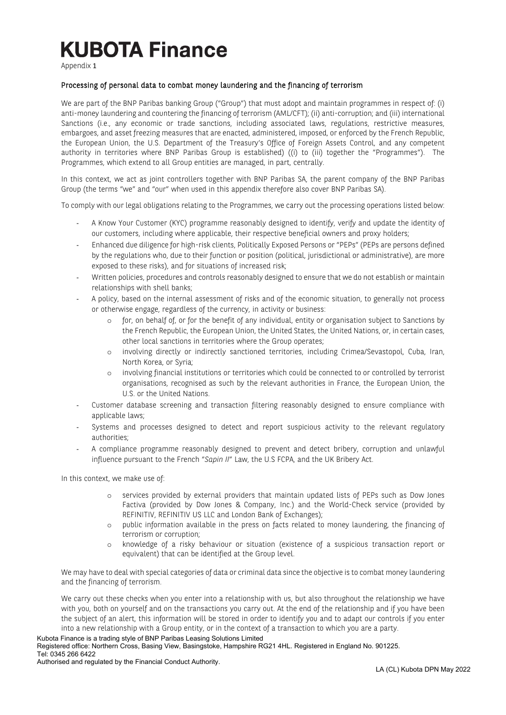Appendix 1

### Processing of personal data to combat money laundering and the financing of terrorism

We are part of the BNP Paribas banking Group ("Group") that must adopt and maintain programmes in respect of: (i) anti-money laundering and countering the financing of terrorism (AML/CFT); (ii) anti-corruption; and (iii) international Sanctions (i.e., any economic or trade sanctions, including associated laws, regulations, restrictive measures, embargoes, and asset freezing measures that are enacted, administered, imposed, or enforced by the French Republic, the European Union, the U.S. Department of the Treasury's Office of Foreign Assets Control, and any competent authority in territories where BNP Paribas Group is established) ((i) to (iii) together the "Programmes"). The Programmes, which extend to all Group entities are managed, in part, centrally.

In this context, we act as joint controllers together with BNP Paribas SA, the parent company of the BNP Paribas Group (the terms "we" and "our" when used in this appendix therefore also cover BNP Paribas SA).

To comply with our legal obligations relating to the Programmes, we carry out the processing operations listed below:

- A Know Your Customer (KYC) programme reasonably designed to identify, verify and update the identity of our customers, including where applicable, their respective beneficial owners and proxy holders;
- Enhanced due diligence for high-risk clients, Politically Exposed Persons or "PEPs" (PEPs are persons defined by the regulations who, due to their function or position (political, jurisdictional or administrative), are more exposed to these risks), and for situations of increased risk;
- Written policies, procedures and controls reasonably designed to ensure that we do not establish or maintain relationships with shell banks;
- A policy, based on the internal assessment of risks and of the economic situation, to generally not process or otherwise engage, regardless of the currency, in activity or business:
	- o for, on behalf of, or for the benefit of any individual, entity or organisation subject to Sanctions by the French Republic, the European Union, the United States, the United Nations, or, in certain cases, other local sanctions in territories where the Group operates;
	- o involving directly or indirectly sanctioned territories, including Crimea/Sevastopol, Cuba, Iran, North Korea, or Syria;
	- o involving financial institutions or territories which could be connected to or controlled by terrorist organisations, recognised as such by the relevant authorities in France, the European Union, the U.S. or the United Nations.
- Customer database screening and transaction filtering reasonably designed to ensure compliance with applicable laws;
- Systems and processes designed to detect and report suspicious activity to the relevant regulatory authorities;
- A compliance programme reasonably designed to prevent and detect bribery, corruption and unlawful influence pursuant to the French "*Sapin II*" Law, the U.S FCPA, and the UK Bribery Act.

In this context, we make use of:

- o services provided by external providers that maintain updated lists of PEPs such as Dow Jones Factiva (provided by Dow Jones & Company, Inc.) and the World-Check service (provided by REFINITIV, REFINITIV US LLC and London Bank of Exchanges);
- o public information available in the press on facts related to money laundering, the financing of terrorism or corruption;
- o knowledge of a risky behaviour or situation (existence of a suspicious transaction report or equivalent) that can be identified at the Group level.

We may have to deal with special categories of data or criminal data since the objective is to combat money laundering and the financing of terrorism.

We carry out these checks when you enter into a relationship with us, but also throughout the relationship we have with you, both on yourself and on the transactions you carry out. At the end of the relationship and if you have been the subject of an alert, this information will be stored in order to identify you and to adapt our controls if you enter into a new relationship with a Group entity, or in the context of a transaction to which you are a party.

#### Kubota Finance is a trading style of BNP Paribas Leasing Solutions Limited Registered office: Northern Cross, Basing View, Basingstoke, Hampshire RG21 4HL. Registered in England No. 901225. Tel: 0345 266 6422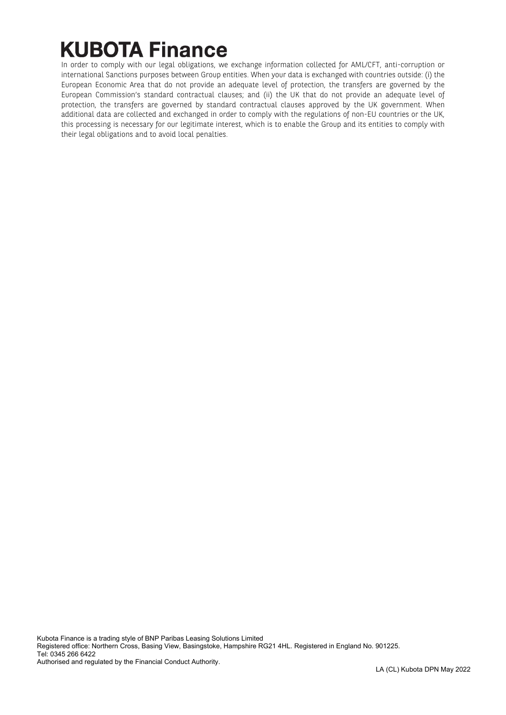In order to comply with our legal obligations, we exchange information collected for AML/CFT, anti-corruption or international Sanctions purposes between Group entities. When your data is exchanged with countries outside: (i) the European Economic Area that do not provide an adequate level of protection, the transfers are governed by the European Commission's standard contractual clauses; and (ii) the UK that do not provide an adequate level of protection, the transfers are governed by standard contractual clauses approved by the UK government. When additional data are collected and exchanged in order to comply with the regulations of non-EU countries or the UK, this processing is necessary for our legitimate interest, which is to enable the Group and its entities to comply with their legal obligations and to avoid local penalties.